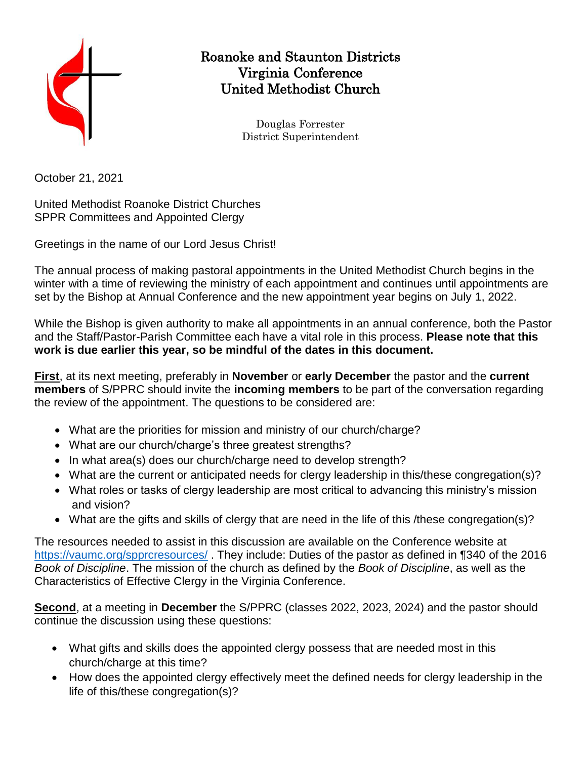

## Roanoke and Staunton Districts Virginia Conference United Methodist Church

Douglas Forrester District Superintendent

October 21, 2021

United Methodist Roanoke District Churches SPPR Committees and Appointed Clergy

Greetings in the name of our Lord Jesus Christ!

The annual process of making pastoral appointments in the United Methodist Church begins in the winter with a time of reviewing the ministry of each appointment and continues until appointments are set by the Bishop at Annual Conference and the new appointment year begins on July 1, 2022.

While the Bishop is given authority to make all appointments in an annual conference, both the Pastor and the Staff/Pastor-Parish Committee each have a vital role in this process. **Please note that this work is due earlier this year, so be mindful of the dates in this document.**

**First**, at its next meeting, preferably in **November** or **early December** the pastor and the **current members** of S/PPRC should invite the **incoming members** to be part of the conversation regarding the review of the appointment. The questions to be considered are:

- What are the priorities for mission and ministry of our church/charge?
- What are our church/charge's three greatest strengths?
- In what area(s) does our church/charge need to develop strength?
- What are the current or anticipated needs for clergy leadership in this/these congregation(s)?
- What roles or tasks of clergy leadership are most critical to advancing this ministry's mission and vision?
- What are the gifts and skills of clergy that are need in the life of this /these congregation(s)?

The resources needed to assist in this discussion are available on the Conference website at <https://vaumc.org/spprcresources/>. They include: Duties of the pastor as defined in ¶340 of the 2016 *Book of Discipline*. The mission of the church as defined by the *Book of Discipline*, as well as the Characteristics of Effective Clergy in the Virginia Conference.

**Second**, at a meeting in **December** the S/PPRC (classes 2022, 2023, 2024) and the pastor should continue the discussion using these questions:

- What gifts and skills does the appointed clergy possess that are needed most in this church/charge at this time?
- How does the appointed clergy effectively meet the defined needs for clergy leadership in the life of this/these congregation(s)?